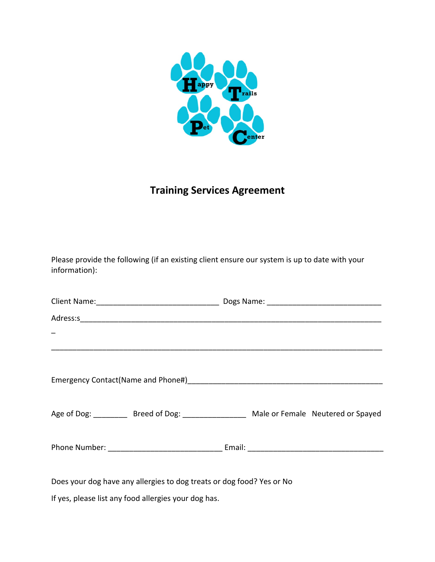

## **Training Services Agreement**

Please provide the following (if an existing client ensure our system is up to date with your information):

| Age of Dog: ___________ Breed of Dog: ___________________ Male or Female Neutered or Spayed |  |
|---------------------------------------------------------------------------------------------|--|
|                                                                                             |  |
| Does your dog have any allergies to dog treats or dog food? Yes or No                       |  |

If yes, please list any food allergies your dog has.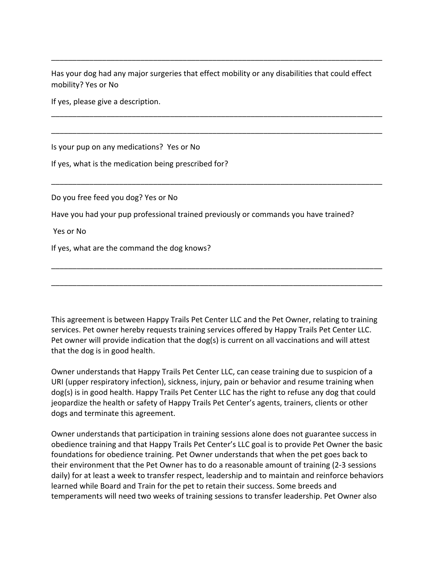Has your dog had any major surgeries that effect mobility or any disabilities that could effect mobility? Yes or No

\_\_\_\_\_\_\_\_\_\_\_\_\_\_\_\_\_\_\_\_\_\_\_\_\_\_\_\_\_\_\_\_\_\_\_\_\_\_\_\_\_\_\_\_\_\_\_\_\_\_\_\_\_\_\_\_\_\_\_\_\_\_\_\_\_\_\_\_\_\_\_\_\_\_\_\_\_\_

\_\_\_\_\_\_\_\_\_\_\_\_\_\_\_\_\_\_\_\_\_\_\_\_\_\_\_\_\_\_\_\_\_\_\_\_\_\_\_\_\_\_\_\_\_\_\_\_\_\_\_\_\_\_\_\_\_\_\_\_\_\_\_\_\_\_\_\_\_\_\_\_\_\_\_\_\_\_

\_\_\_\_\_\_\_\_\_\_\_\_\_\_\_\_\_\_\_\_\_\_\_\_\_\_\_\_\_\_\_\_\_\_\_\_\_\_\_\_\_\_\_\_\_\_\_\_\_\_\_\_\_\_\_\_\_\_\_\_\_\_\_\_\_\_\_\_\_\_\_\_\_\_\_\_\_\_

\_\_\_\_\_\_\_\_\_\_\_\_\_\_\_\_\_\_\_\_\_\_\_\_\_\_\_\_\_\_\_\_\_\_\_\_\_\_\_\_\_\_\_\_\_\_\_\_\_\_\_\_\_\_\_\_\_\_\_\_\_\_\_\_\_\_\_\_\_\_\_\_\_\_\_\_\_\_

If yes, please give a description.

Is your pup on any medications? Yes or No

If yes, what is the medication being prescribed for?

Do you free feed you dog? Yes or No

Have you had your pup professional trained previously or commands you have trained?

Yes or No

If yes, what are the command the dog knows?

This agreement is between Happy Trails Pet Center LLC and the Pet Owner, relating to training services. Pet owner hereby requests training services offered by Happy Trails Pet Center LLC. Pet owner will provide indication that the dog(s) is current on all vaccinations and will attest that the dog is in good health.

\_\_\_\_\_\_\_\_\_\_\_\_\_\_\_\_\_\_\_\_\_\_\_\_\_\_\_\_\_\_\_\_\_\_\_\_\_\_\_\_\_\_\_\_\_\_\_\_\_\_\_\_\_\_\_\_\_\_\_\_\_\_\_\_\_\_\_\_\_\_\_\_\_\_\_\_\_\_

\_\_\_\_\_\_\_\_\_\_\_\_\_\_\_\_\_\_\_\_\_\_\_\_\_\_\_\_\_\_\_\_\_\_\_\_\_\_\_\_\_\_\_\_\_\_\_\_\_\_\_\_\_\_\_\_\_\_\_\_\_\_\_\_\_\_\_\_\_\_\_\_\_\_\_\_\_\_

Owner understands that Happy Trails Pet Center LLC, can cease training due to suspicion of a URI (upper respiratory infection), sickness, injury, pain or behavior and resume training when dog(s) is in good health. Happy Trails Pet Center LLC has the right to refuse any dog that could jeopardize the health or safety of Happy Trails Pet Center's agents, trainers, clients or other dogs and terminate this agreement.

Owner understands that participation in training sessions alone does not guarantee success in obedience training and that Happy Trails Pet Center's LLC goal is to provide Pet Owner the basic foundations for obedience training. Pet Owner understands that when the pet goes back to their environment that the Pet Owner has to do a reasonable amount of training (2-3 sessions daily) for at least a week to transfer respect, leadership and to maintain and reinforce behaviors learned while Board and Train for the pet to retain their success. Some breeds and temperaments will need two weeks of training sessions to transfer leadership. Pet Owner also